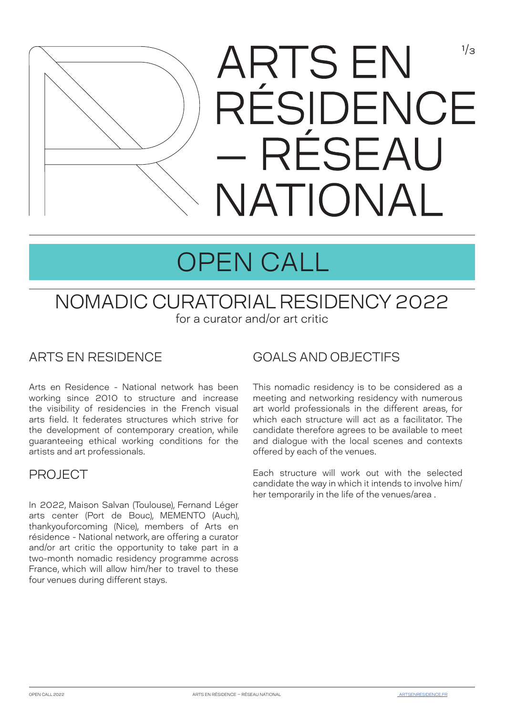

# OPEN CALL

### NOMADIC CURATORIAL RESIDENCY 2022 for a curator and/or art critic

#### ARTS EN RESIDENCE

Arts en Residence - National network has been working since 2010 to structure and increase the visibility of residencies in the French visual arts field. It federates structures which strive for the development of contemporary creation, while guaranteeing ethical working conditions for the artists and art professionals.

#### PROJECT

In 2022, Maison Salvan (Toulouse), Fernand Léger arts center (Port de Bouc), MEMENTO (Auch), thankyouforcoming (Nice), members of Arts en résidence - National network, are offering a curator and/or art critic the opportunity to take part in a two-month nomadic residency programme across France, which will allow him/her to travel to these four venues during different stays.

#### GOALS AND OBJECTIFS

This nomadic residency is to be considered as a meeting and networking residency with numerous art world professionals in the different areas, for which each structure will act as a facilitator. The candidate therefore agrees to be available to meet and dialogue with the local scenes and contexts offered by each of the venues.

Each structure will work out with the selected candidate the way in which it intends to involve him/ her temporarily in the life of the venues/area .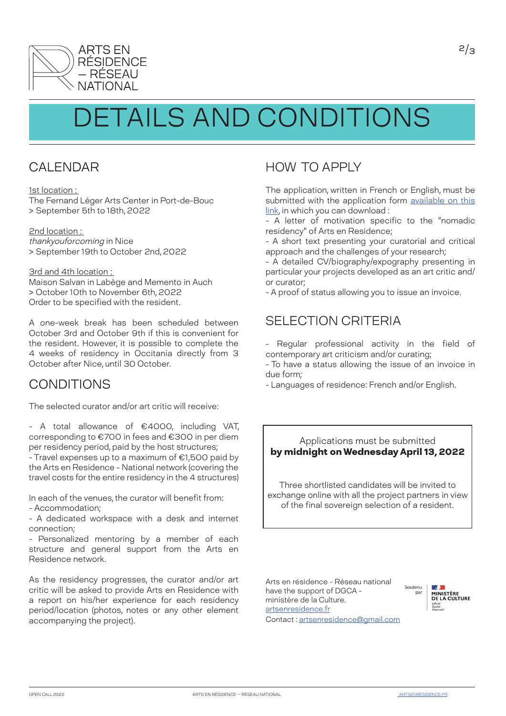

## DETAILS AND CONDITIONS

#### CAL **FNDAR**

1st location :

The Fernand Léger Arts Center in Port-de-Bouc > September 5th to 18th, 2022

2nd location : thankyouforcoming in Nice > September 19th to October 2nd, 2022

3rd and 4th location :

Maison Salvan in Labège and Memento in Auch > October 10th to November 6th, 2022 Order to be specified with the resident.

A one-week break has been scheduled between October 3rd and October 9th if this is convenient for the resident. However, it is possible to complete the 4 weeks of residency in Occitania directly from 3 October after Nice, until 30 October.

#### CONDITIONS

The selected curator and/or art critic will receive:

- A total allowance of €4000, including VAT, corresponding to €700 in fees and €300 in per diem per residency period, paid by the host structures;

- Travel expenses up to a maximum of €1,500 paid by the Arts en Residence - National network (covering the travel costs for the entire residency in the 4 structures)

In each of the venues, the curator will benefit from: - Accommodation;

- A dedicated workspace with a desk and internet connection;

- Personalized mentoring by a member of each structure and general support from the Arts en Residence network.

As the residency progresses, the curator and/or art critic will be asked to provide Arts en Residence with a report on his/her experience for each residency period/location (photos, notes or any other element accompanying the project).

### HOW TO APPLY

The application, written in French or English, must be submitted with the application form [available on this](https://docs.google.com/forms/d/e/1FAIpQLScw7_-dMF2onsDtHgE0u72n3H645j2r73SXR0kIow-XblKI4A/viewform?usp=pp_url) [link,](https://docs.google.com/forms/d/e/1FAIpQLScw7_-dMF2onsDtHgE0u72n3H645j2r73SXR0kIow-XblKI4A/viewform?usp=pp_url) in which you can download :

- A letter of motivation specific to the "nomadic residency" of Arts en Residence;

- A short text presenting your curatorial and critical approach and the challenges of your research;

- A detailed CV/biography/expography presenting in particular your projects developed as an art critic and/ or curator;

- A proof of status allowing you to issue an invoice.

#### SELECTION CRITERIA

- Regular professional activity in the field of contemporary art criticism and/or curating;

- To have a status allowing the issue of an invoice in due form;

- Languages of residence: French and/or English.

#### Applications must be submitted by midnight on Wednesday April 13, 2022

Three shortlisted candidates will be invited to exchange online with all the project partners in view of the final sovereign selection of a resident.

Arts en résidence - Réseau national have the support of DGCA ministère de la Culture. [artsenresidence.fr](http://artsenresidence.fr) [Contact :](mailto:?subject=) artsenresidence@gmail.com